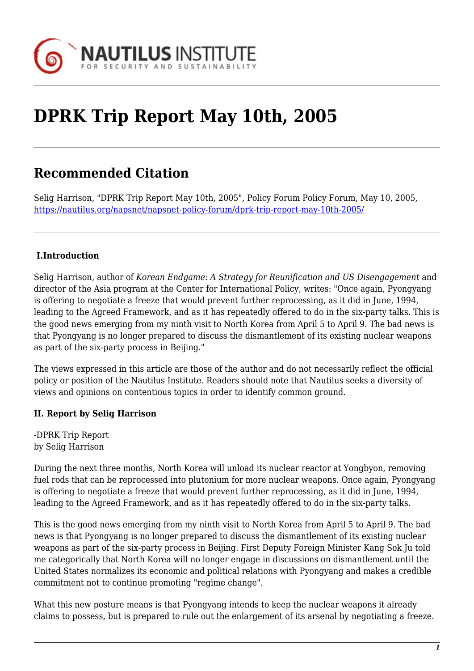

## **DPRK Trip Report May 10th, 2005**

## **Recommended Citation**

Selig Harrison, "DPRK Trip Report May 10th, 2005", Policy Forum Policy Forum, May 10, 2005, <https://nautilus.org/napsnet/napsnet-policy-forum/dprk-trip-report-may-10th-2005/>

## **I.Introduction**

Selig Harrison, author of *Korean Endgame: A Strategy for Reunification and US Disengagement* and director of the Asia program at the Center for International Policy, writes: "Once again, Pyongyang is offering to negotiate a freeze that would prevent further reprocessing, as it did in June, 1994, leading to the Agreed Framework, and as it has repeatedly offered to do in the six-party talks. This is the good news emerging from my ninth visit to North Korea from April 5 to April 9. The bad news is that Pyongyang is no longer prepared to discuss the dismantlement of its existing nuclear weapons as part of the six-party process in Beijing."

The views expressed in this article are those of the author and do not necessarily reflect the official policy or position of the Nautilus Institute. Readers should note that Nautilus seeks a diversity of views and opinions on contentious topics in order to identify common ground.

## **II. Report by Selig Harrison**

-DPRK Trip Report by Selig Harrison

During the next three months, North Korea will unload its nuclear reactor at Yongbyon, removing fuel rods that can be reprocessed into plutonium for more nuclear weapons. Once again, Pyongyang is offering to negotiate a freeze that would prevent further reprocessing, as it did in June, 1994, leading to the Agreed Framework, and as it has repeatedly offered to do in the six-party talks.

This is the good news emerging from my ninth visit to North Korea from April 5 to April 9. The bad news is that Pyongyang is no longer prepared to discuss the dismantlement of its existing nuclear weapons as part of the six-party process in Beijing. First Deputy Foreign Minister Kang Sok Ju told me categorically that North Korea will no longer engage in discussions on dismantlement until the United States normalizes its economic and political relations with Pyongyang and makes a credible commitment not to continue promoting "regime change".

What this new posture means is that Pyongyang intends to keep the nuclear weapons it already claims to possess, but is prepared to rule out the enlargement of its arsenal by negotiating a freeze.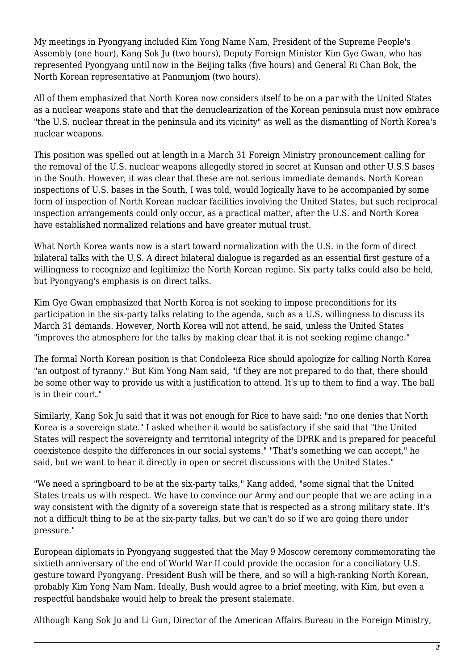My meetings in Pyongyang included Kim Yong Name Nam, President of the Supreme People's Assembly (one hour), Kang Sok Ju (two hours), Deputy Foreign Minister Kim Gye Gwan, who has represented Pyongyang until now in the Beijing talks (five hours) and General Ri Chan Bok, the North Korean representative at Panmunjom (two hours).

All of them emphasized that North Korea now considers itself to be on a par with the United States as a nuclear weapons state and that the denuclearization of the Korean peninsula must now embrace "the U.S. nuclear threat in the peninsula and its vicinity" as well as the dismantling of North Korea's nuclear weapons.

This position was spelled out at length in a March 31 Foreign Ministry pronouncement calling for the removal of the U.S. nuclear weapons allegedly stored in secret at Kunsan and other U.S.S bases in the South. However, it was clear that these are not serious immediate demands. North Korean inspections of U.S. bases in the South, I was told, would logically have to be accompanied by some form of inspection of North Korean nuclear facilities involving the United States, but such reciprocal inspection arrangements could only occur, as a practical matter, after the U.S. and North Korea have established normalized relations and have greater mutual trust.

What North Korea wants now is a start toward normalization with the U.S. in the form of direct bilateral talks with the U.S. A direct bilateral dialogue is regarded as an essential first gesture of a willingness to recognize and legitimize the North Korean regime. Six party talks could also be held, but Pyongyang's emphasis is on direct talks.

Kim Gye Gwan emphasized that North Korea is not seeking to impose preconditions for its participation in the six-party talks relating to the agenda, such as a U.S. willingness to discuss its March 31 demands. However, North Korea will not attend, he said, unless the United States "improves the atmosphere for the talks by making clear that it is not seeking regime change."

The formal North Korean position is that Condoleeza Rice should apologize for calling North Korea "an outpost of tyranny." But Kim Yong Nam said, "if they are not prepared to do that, there should be some other way to provide us with a justification to attend. It's up to them to find a way. The ball is in their court."

Similarly, Kang Sok Ju said that it was not enough for Rice to have said: "no one denies that North Korea is a sovereign state." I asked whether it would be satisfactory if she said that "the United States will respect the sovereignty and territorial integrity of the DPRK and is prepared for peaceful coexistence despite the differences in our social systems." "That's something we can accept," he said, but we want to hear it directly in open or secret discussions with the United States."

"We need a springboard to be at the six-party talks," Kang added, "some signal that the United States treats us with respect. We have to convince our Army and our people that we are acting in a way consistent with the dignity of a sovereign state that is respected as a strong military state. It's not a difficult thing to be at the six-party talks, but we can't do so if we are going there under pressure."

European diplomats in Pyongyang suggested that the May 9 Moscow ceremony commemorating the sixtieth anniversary of the end of World War II could provide the occasion for a conciliatory U.S. gesture toward Pyongyang. President Bush will be there, and so will a high-ranking North Korean, probably Kim Yong Nam Nam. Ideally, Bush would agree to a brief meeting, with Kim, but even a respectful handshake would help to break the present stalemate.

Although Kang Sok Ju and Li Gun, Director of the American Affairs Bureau in the Foreign Ministry,